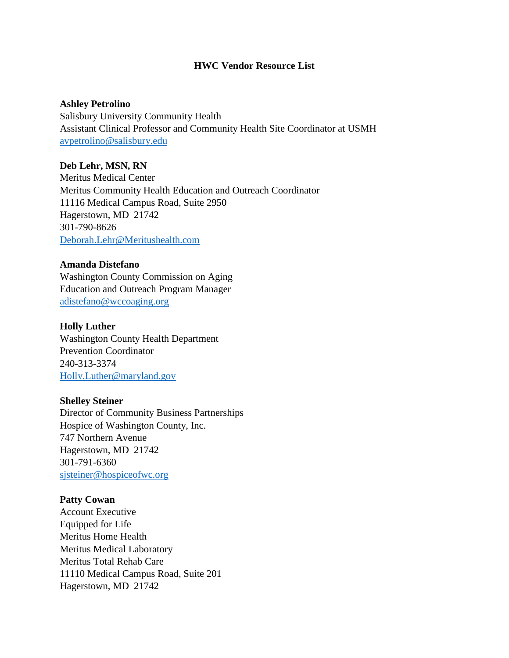## **HWC Vendor Resource List**

### **Ashley Petrolino**

Salisbury University Community Health Assistant Clinical Professor and Community Health Site Coordinator at USMH [avpetrolino@salisbury.edu](mailto:avpetrolino@salisbury.edu)

### **Deb Lehr, MSN, RN**

Meritus Medical Center Meritus Community Health Education and Outreach Coordinator 11116 Medical Campus Road, Suite 2950 Hagerstown, MD 21742 301-790-8626 [Deborah.Lehr@Meritushealth.com](mailto:Deborah.Lehr@Meritushealth.com)

### **Amanda Distefano**

Washington County Commission on Aging Education and Outreach Program Manager [adistefano@wccoaging.org](mailto:adistefano@wccoaging.org)

## **Holly Luther**

Washington County Health Department Prevention Coordinator 240-313-3374 [Holly.Luther@maryland.gov](mailto:Holly.Luther@maryland.gov)

#### **Shelley Steiner**

Director of Community Business Partnerships Hospice of Washington County, Inc. 747 Northern Avenue Hagerstown, MD 21742 301-791-6360 [sjsteiner@hospiceofwc.org](mailto:sjsteiner@hospiceofwc.org)

## **Patty Cowan**

Account Executive Equipped for Life Meritus Home Health Meritus Medical Laboratory Meritus Total Rehab Care 11110 Medical Campus Road, Suite 201 Hagerstown, MD 21742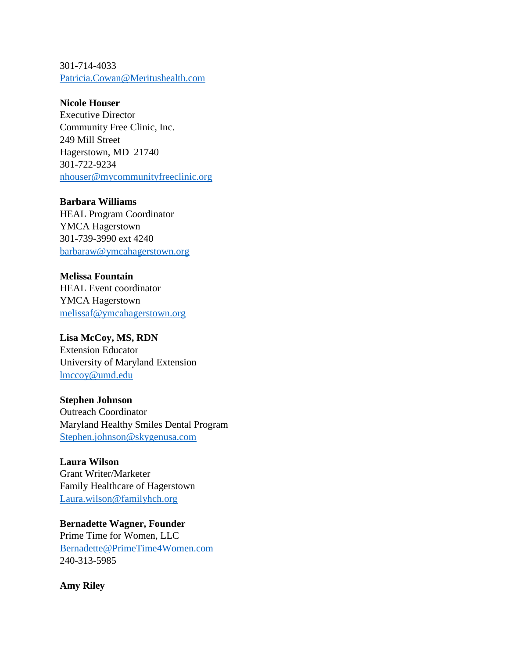301-714-4033 [Patricia.Cowan@Meritushealth.com](mailto:Patricia.Cowan@Meritushealth.com)

**Nicole Houser**

Executive Director Community Free Clinic, Inc. 249 Mill Street Hagerstown, MD 21740 301-722-9234 [nhouser@mycommunityfreeclinic.org](mailto:nhouser@mycommunityfreeclinic.org)

**Barbara Williams** HEAL Program Coordinator YMCA Hagerstown 301-739-3990 ext 4240 [barbaraw@ymcahagerstown.org](mailto:barbaraw@ymcahagerstown.org)

**Melissa Fountain** HEAL Event coordinator YMCA Hagerstown [melissaf@ymcahagerstown.org](mailto:melissaf@ymcahagerstown.org)

**Lisa McCoy, MS, RDN** Extension Educator University of Maryland Extension [lmccoy@umd.edu](mailto:lmccoy@umd.edu)

**Stephen Johnson** Outreach Coordinator Maryland Healthy Smiles Dental Program [Stephen.johnson@skygenusa.com](mailto:Stephen.johnson@skygenusa.com)

**Laura Wilson** Grant Writer/Marketer Family Healthcare of Hagerstown [Laura.wilson@familyhch.org](mailto:Laura.wilson@familyhch.org)

**Bernadette Wagner, Founder** Prime Time for Women, LLC [Bernadette@PrimeTime4Women.com](mailto:Bernadette@PrimeTime4Women.com) 240-313-5985

**Amy Riley**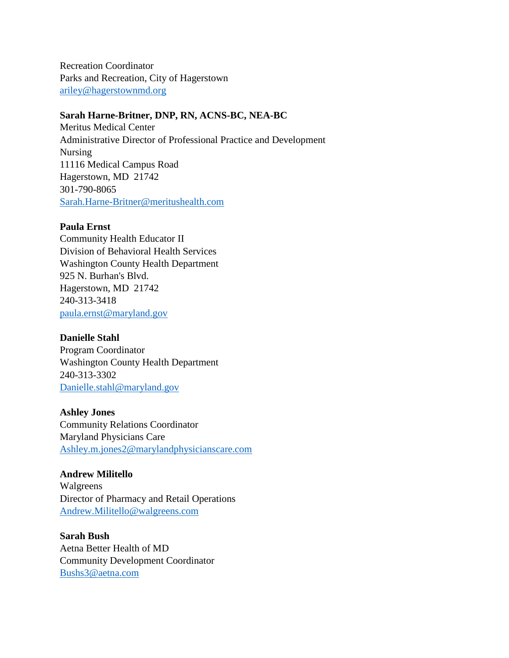Recreation Coordinator Parks and Recreation, City of Hagerstown [ariley@hagerstownmd.org](mailto:ariley@hagerstownmd.org)

## **Sarah Harne-Britner, DNP, RN, ACNS-BC, NEA-BC**

Meritus Medical Center Administrative Director of Professional Practice and Development Nursing 11116 Medical Campus Road Hagerstown, MD 21742 301-790-8065 [Sarah.Harne-Britner@meritushealth.com](mailto:Sarah.Harne-Britner@meritushealth.com)

### **Paula Ernst**

Community Health Educator II Division of Behavioral Health Services Washington County Health Department 925 N. Burhan's Blvd. Hagerstown, MD 21742 240-313-3418 [paula.ernst@maryland.gov](mailto:paula.ernst@maryland.gov)

## **Danielle Stahl**

Program Coordinator Washington County Health Department 240-313-3302 [Danielle.stahl@maryland.gov](mailto:Danielle.stahl@maryland.gov)

**Ashley Jones**

Community Relations Coordinator Maryland Physicians Care [Ashley.m.jones2@marylandphysicianscare.com](mailto:Ashley.m.jones2@marylandphysicianscare.com)

## **Andrew Militello**

Walgreens Director of Pharmacy and Retail Operations [Andrew.Militello@walgreens.com](mailto:Andrew.Militello@walgreens.com)

# **Sarah Bush**

Aetna Better Health of MD Community Development Coordinator [Bushs3@aetna.com](mailto:Bushs3@aetna.com)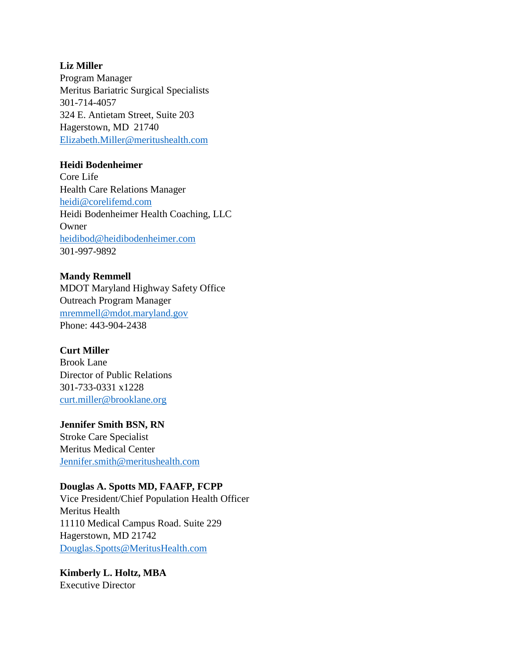# **Liz Miller**

Program Manager Meritus Bariatric Surgical Specialists 301-714-4057 324 E. Antietam Street, Suite 203 Hagerstown, MD 21740 [Elizabeth.Miller@meritushealth.com](mailto:Elizabeth.Miller@meritushealth.com)

# **Heidi Bodenheimer**

Core Life Health Care Relations Manager [heidi@corelifemd.com](mailto:heidi@corelifemd.com) Heidi Bodenheimer Health Coaching, LLC Owner [heidibod@heidibodenheimer.com](mailto:heidibod@heidibodenheimer.com) 301-997-9892

# **Mandy Remmell**

MDOT Maryland Highway Safety Office Outreach Program Manager [mremmell@mdot.maryland.gov](mailto:mremmell@mdot.maryland.gov) Phone: 443-904-2438

# **Curt Miller**

Brook Lane Director of Public Relations 301-733-0331 x1228 [curt.miller@brooklane.org](mailto:curt.miller@brooklane.org)

# **Jennifer Smith BSN, RN**

Stroke Care Specialist Meritus Medical Center [Jennifer.smith@meritushealth.com](mailto:Jennifer.smith@meritushealth.com)

# **Douglas A. Spotts MD, FAAFP, FCPP**

Vice President/Chief Population Health Officer Meritus Health 11110 Medical Campus Road. Suite 229 Hagerstown, MD 21742 [Douglas.Spotts@MeritusHealth.com](mailto:Douglas.Spotts@MeritusHealth.com)

#### **Kimberly L. Holtz, MBA** Executive Director